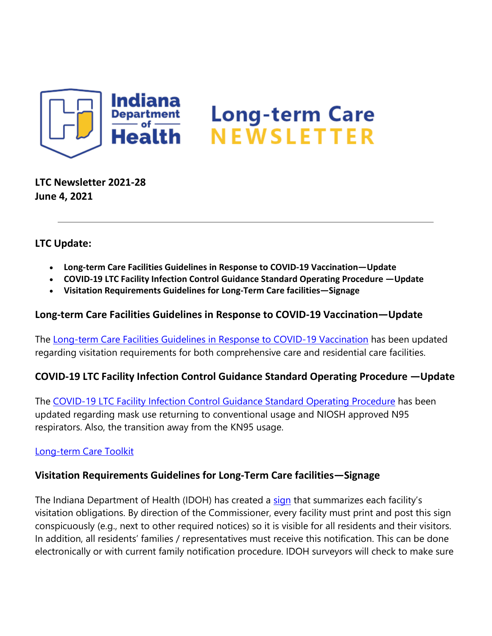

**LTC Newsletter 2021-28 June 4, 2021**

# **LTC Update:**

- **Long-term Care Facilities Guidelines in Response to COVID-19 Vaccination—Update**
- **COVID-19 LTC Facility Infection Control Guidance Standard Operating Procedure —Update**
- **Visitation Requirements Guidelines for Long-Term Care facilities—Signage**

### **Long-term Care Facilities Guidelines in Response to COVID-19 Vaccination—Update**

The [Long-term Care Facilities Guidelines in Response to COVID-19 Vaccination](https://lnks.gd/l/eyJhbGciOiJIUzI1NiJ9.eyJidWxsZXRpbl9saW5rX2lkIjoxMDAsInVyaSI6ImJwMjpjbGljayIsImJ1bGxldGluX2lkIjoiMjAyMTA2MDQuNDE1MTQ3OTEiLCJ1cmwiOiJodHRwczovL3d3dy5jb3JvbmF2aXJ1cy5pbi5nb3YvZmlsZXMvTFRDJTIwZ3VpZGVsaW5lcyUyMHJlc3BvbnNlJTIwdG8lMjBDT1ZJRC0xOSUyMFZhY2NpbmF0aW9uJTIwMDYuMDEuMjElMjAucGRmIn0.TRiyVYvPavQdSAIyl897xaoBEey32iIOkJJJFUMQXmI/s/1439130268/br/107490680105-l) has been updated regarding visitation requirements for both comprehensive care and residential care facilities.

# **COVID-19 LTC Facility Infection Control Guidance Standard Operating Procedure —Update**

The [COVID-19 LTC Facility Infection Control Guidance Standard Operating Procedure](https://lnks.gd/l/eyJhbGciOiJIUzI1NiJ9.eyJidWxsZXRpbl9saW5rX2lkIjoxMDEsInVyaSI6ImJwMjpjbGljayIsImJ1bGxldGluX2lkIjoiMjAyMTA2MDQuNDE1MTQ3OTEiLCJ1cmwiOiJodHRwczovL3d3dy5jb3JvbmF2aXJ1cy5pbi5nb3YvZmlsZXMvSU5fQ09WSUQtMTklMjBMVEMlMjBTT1AlMjBjaGVja2xpc3QlMjAwNi4wMS4yMS5wZGYifQ.w6lal-LFxKuKcUrOxiMxCspiyqvV2t6y-n1PucRkajM/s/1439130268/br/107490680105-l) has been updated regarding mask use returning to conventional usage and NIOSH approved N95 respirators. Also, the transition away from the KN95 usage.

### [Long-term Care Toolkit](https://lnks.gd/l/eyJhbGciOiJIUzI1NiJ9.eyJidWxsZXRpbl9saW5rX2lkIjoxMDIsInVyaSI6ImJwMjpjbGljayIsImJ1bGxldGluX2lkIjoiMjAyMTA2MDQuNDE1MTQ3OTEiLCJ1cmwiOiJodHRwczovL3d3dy5jb3JvbmF2aXJ1cy5pbi5nb3YvZmlsZXMvSU5fQ09WSUQtMTklMjBJUCUyMFRvb2xraXQlMjBJU0RIXzYuNC4yMS5wZGYifQ.lPkdXdZ5ybh9Cq3A9hiouxwMYD39Eg46A3D374YFGX8/s/1439130268/br/107490680105-l)

# **Visitation Requirements Guidelines for Long-Term Care facilities—Signage**

The Indiana Department of Health (IDOH) has created a [sign](https://lnks.gd/l/eyJhbGciOiJIUzI1NiJ9.eyJidWxsZXRpbl9saW5rX2lkIjoxMDMsInVyaSI6ImJwMjpjbGljayIsImJ1bGxldGluX2lkIjoiMjAyMTA2MDQuNDE1MTQ3OTEiLCJ1cmwiOiJodHRwczovL3d3dy5jb3JvbmF2aXJ1cy5pbi5nb3YvZmlsZXMvMjFfTFRDJTIwdmlzaXRhdGlvbl82LTMucGRmIn0.W0_2UBoKaGMSyW__apiswyzG4KBoK2RWoPrfq3wtKds/s/1439130268/br/107490680105-l) that summarizes each facility's visitation obligations. By direction of the Commissioner, every facility must print and post this sign conspicuously (e.g., next to other required notices) so it is visible for all residents and their visitors. In addition, all residents' families / representatives must receive this notification. This can be done electronically or with current family notification procedure. IDOH surveyors will check to make sure